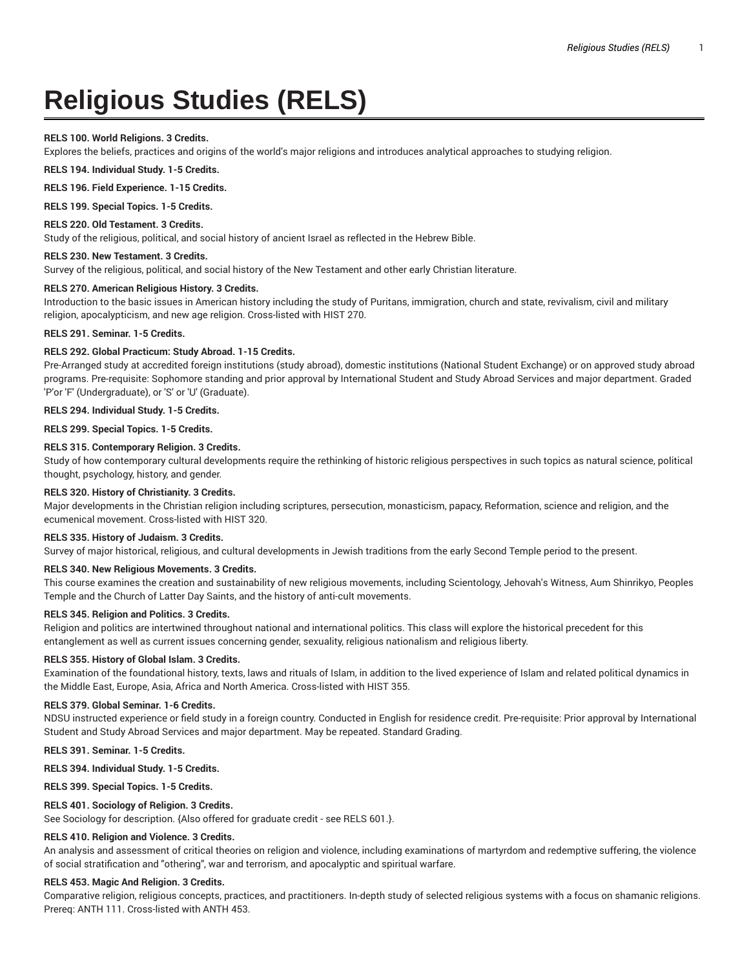# **Religious Studies (RELS)**

## **RELS 100. World Religions. 3 Credits.**

Explores the beliefs, practices and origins of the world's major religions and introduces analytical approaches to studying religion.

**RELS 194. Individual Study. 1-5 Credits.**

**RELS 196. Field Experience. 1-15 Credits.**

**RELS 199. Special Topics. 1-5 Credits.**

#### **RELS 220. Old Testament. 3 Credits.**

Study of the religious, political, and social history of ancient Israel as reflected in the Hebrew Bible.

#### **RELS 230. New Testament. 3 Credits.**

Survey of the religious, political, and social history of the New Testament and other early Christian literature.

## **RELS 270. American Religious History. 3 Credits.**

Introduction to the basic issues in American history including the study of Puritans, immigration, church and state, revivalism, civil and military religion, apocalypticism, and new age religion. Cross-listed with HIST 270.

#### **RELS 291. Seminar. 1-5 Credits.**

## **RELS 292. Global Practicum: Study Abroad. 1-15 Credits.**

Pre-Arranged study at accredited foreign institutions (study abroad), domestic institutions (National Student Exchange) or on approved study abroad programs. Pre-requisite: Sophomore standing and prior approval by International Student and Study Abroad Services and major department. Graded 'P'or 'F' (Undergraduate), or 'S' or 'U' (Graduate).

## **RELS 294. Individual Study. 1-5 Credits.**

**RELS 299. Special Topics. 1-5 Credits.**

#### **RELS 315. Contemporary Religion. 3 Credits.**

Study of how contemporary cultural developments require the rethinking of historic religious perspectives in such topics as natural science, political thought, psychology, history, and gender.

## **RELS 320. History of Christianity. 3 Credits.**

Major developments in the Christian religion including scriptures, persecution, monasticism, papacy, Reformation, science and religion, and the ecumenical movement. Cross-listed with HIST 320.

## **RELS 335. History of Judaism. 3 Credits.**

Survey of major historical, religious, and cultural developments in Jewish traditions from the early Second Temple period to the present.

## **RELS 340. New Religious Movements. 3 Credits.**

This course examines the creation and sustainability of new religious movements, including Scientology, Jehovah's Witness, Aum Shinrikyo, Peoples Temple and the Church of Latter Day Saints, and the history of anti-cult movements.

## **RELS 345. Religion and Politics. 3 Credits.**

Religion and politics are intertwined throughout national and international politics. This class will explore the historical precedent for this entanglement as well as current issues concerning gender, sexuality, religious nationalism and religious liberty.

#### **RELS 355. History of Global Islam. 3 Credits.**

Examination of the foundational history, texts, laws and rituals of Islam, in addition to the lived experience of Islam and related political dynamics in the Middle East, Europe, Asia, Africa and North America. Cross-listed with HIST 355.

#### **RELS 379. Global Seminar. 1-6 Credits.**

NDSU instructed experience or field study in a foreign country. Conducted in English for residence credit. Pre-requisite: Prior approval by International Student and Study Abroad Services and major department. May be repeated. Standard Grading.

#### **RELS 391. Seminar. 1-5 Credits.**

**RELS 394. Individual Study. 1-5 Credits.**

**RELS 399. Special Topics. 1-5 Credits.**

# **RELS 401. Sociology of Religion. 3 Credits.**

See Sociology for description. {Also offered for graduate credit - see RELS 601.}.

## **RELS 410. Religion and Violence. 3 Credits.**

An analysis and assessment of critical theories on religion and violence, including examinations of martyrdom and redemptive suffering, the violence of social stratification and "othering", war and terrorism, and apocalyptic and spiritual warfare.

## **RELS 453. Magic And Religion. 3 Credits.**

Comparative religion, religious concepts, practices, and practitioners. In-depth study of selected religious systems with a focus on shamanic religions. Prereq: ANTH 111. Cross-listed with ANTH 453.